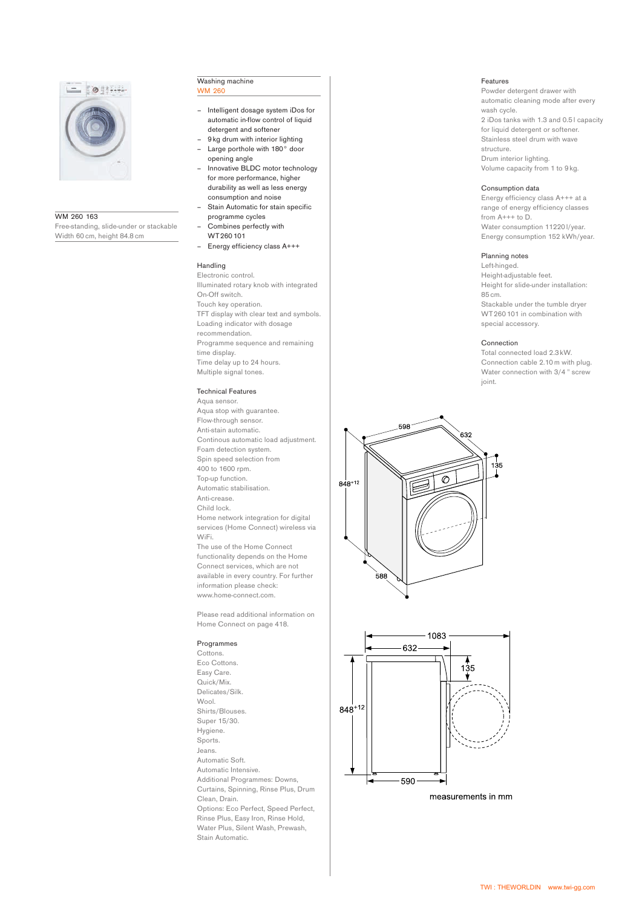

## WM 260 163

Free-standing, slide-under or stackable Width 60 cm, height 84.8 cm

#### Washing machine **WM 26**

- Intelligent dosage system iDos for automatic in-flow control of liquid detergent and softener
- 9 kg drum with interior lighting – Large porthole with 180° door
- opening angle – Innovative BLDC motor technology
- for more performance, higher durability as well as less energy consumption and noise
- Stain Automatic for stain specific programme cycles
- Combines perfectly with WT 260 101
- Energy efficiency class A+++

# Handling

Electronic control. Illuminated rotary knob with integrated On-Off switch. Touch key operation. TFT display with clear text and symbols. Loading indicator with dosage recommendation. Programme sequence and remaining time display. Time delay up to 24 hours. Multiple signal tones.

# Technical Features

Aqua sensor. Aqua stop with guarantee. Flow-through sensor. Anti-stain automatic. Continous automatic load adjustment. Foam detection system. Spin speed selection from 400 to 1600 rpm. Top-up function. Automatic stabilisation. Anti-crease. Child lock. Home network integration for digital services (Home Connect) wireless via WiFi. The use of the Home Connect functionality depends on the Home Connect services, which are not available in every country. For further information please check: www.home-connect.com.

Please read additional information on Home Connect on page 418.

## Programmes

Cottons. Eco Cottons. Easy Care. Quick/Mix. Delicates/Silk. Wool. Shirts/Blouses. Super 15/30. Hygiene. Sports. Jeans. Automatic Soft. Automatic Intensive. Additional Programmes: Downs, Curtains, Spinning, Rinse Plus, Drum Clean, Drain. Options: Eco Perfect, Speed Perfect, Rinse Plus, Easy Iron, Rinse Hold, Water Plus, Silent Wash, Prewash, Stain Automatic.

# Features

Powder detergent drawer with automatic cleaning mode after every wash cycle. 2 iDos tanks with 1.3 and 0.5 l capacity for liquid detergent or softener. Stainless steel drum with wave structure. Drum interior lighting. Volume capacity from 1 to 9 kg.

#### Consumption data

Energy efficiency class A+++ at a range of energy efficiency classes from A+++ to D. Water consumption 11220 l/year. Energy consumption 152 kWh/year.

### Planning notes

Left-hinged. Height-adjustable feet. Height for slide-under installation: 85 cm. Stackable under the tumble dryer WT 260 101 in combination with special accessory.

#### Connection

Total connected load 2.3 kW. Connection cable 2.10m with plug. Water connection with 3/4 " screw joint.





measurements in mm